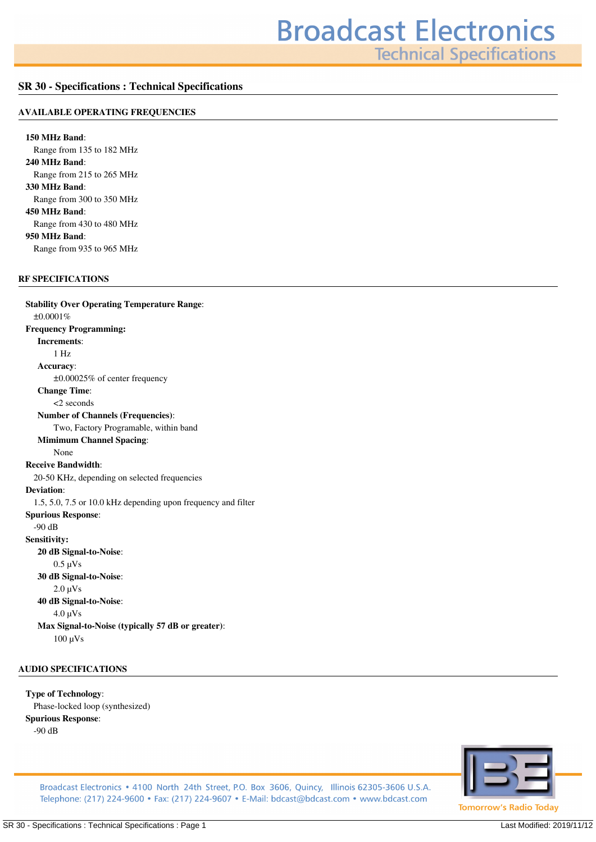**Technical Specifications** 

## **SR 30 - Specifications : Technical Specifications**

### **AVAILABLE OPERATING FREQUENCIES**

**150 MHz Band***: Range from 135 to 182 MHz* **240 MHz Band***: Range from 215 to 265 MHz* **330 MHz Band***: Range from 300 to 350 MHz* **450 MHz Band***: Range from 430 to 480 MHz* **950 MHz Band***: Range from 935 to 965 MHz*

## **RF SPECIFICATIONS**

**Stability Over Operating Temperature Range***: ±0.0001%* **Frequency Programming: Increments***: 1 Hz* **Accuracy***: ±0.00025% of center frequency* **Change Time***: <2 seconds* **Number of Channels (Frequencies)***: Two, Factory Programable, within band* **Mimimum Channel Spacing***: None* **Receive Bandwidth***: 20-50 KHz, depending on selected frequencies* **Deviation***: 1.5, 5.0, 7.5 or 10.0 kHz depending upon frequency and filter* **Spurious Response***: -90 dB* **Sensitivity: 20 dB Signal-to-Noise***: 0.5 µVs* **30 dB Signal-to-Noise***: 2.0 µVs* **40 dB Signal-to-Noise***: 4.0 µVs* **Max Signal-to-Noise (typically 57 dB or greater)***: 100 µVs*

## **AUDIO SPECIFICATIONS**

**Type of Technology***: Phase-locked loop (synthesized)* **Spurious Response***: -90 dB*



Broadcast Electronics • 4100 North 24th Street, P.O. Box 3606, Quincy, Illinois 62305-3606 U.S.A. Telephone: (217) 224-9600 • Fax: (217) 224-9607 • E-Mail: bdcast@bdcast.com • www.bdcast.com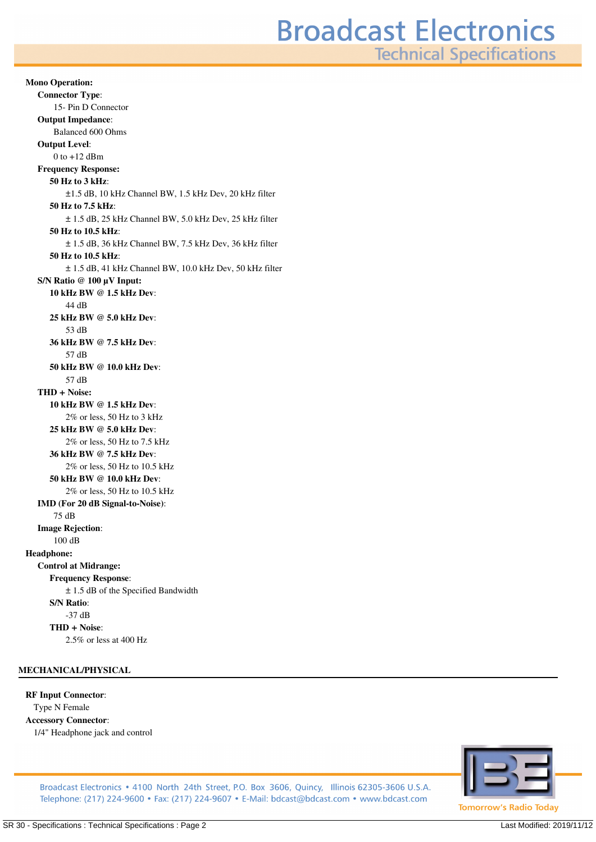**Technical Specifications** 

**Mono Operation: Connector Type***: 15- Pin D Connector* **Output Impedance***: Balanced 600 Ohms* **Output Level***: 0 to +12 dBm* **Frequency Response: 50 Hz to 3 kHz***: ±1.5 dB, 10 kHz Channel BW, 1.5 kHz Dev, 20 kHz filter* **50 Hz to 7.5 kHz***: ± 1.5 dB, 25 kHz Channel BW, 5.0 kHz Dev, 25 kHz filter* **50 Hz to 10.5 kHz***: ± 1.5 dB, 36 kHz Channel BW, 7.5 kHz Dev, 36 kHz filter* **50 Hz to 10.5 kHz***: ± 1.5 dB, 41 kHz Channel BW, 10.0 kHz Dev, 50 kHz filter* **S/N Ratio @ 100 µV Input: 10 kHz BW @ 1.5 kHz Dev***: 44 dB* **25 kHz BW @ 5.0 kHz Dev***: 53 dB* **36 kHz BW @ 7.5 kHz Dev***: 57 dB* **50 kHz BW @ 10.0 kHz Dev***: 57 dB* **THD + Noise: 10 kHz BW @ 1.5 kHz Dev***: 2% or less, 50 Hz to 3 kHz* **25 kHz BW @ 5.0 kHz Dev***: 2% or less, 50 Hz to 7.5 kHz* **36 kHz BW @ 7.5 kHz Dev***: 2% or less, 50 Hz to 10.5 kHz* **50 kHz BW @ 10.0 kHz Dev***: 2% or less, 50 Hz to 10.5 kHz* **IMD (For 20 dB Signal-to-Noise)***: 75 dB* **Image Rejection***: 100 dB* **Headphone: Control at Midrange: Frequency Response***: ± 1.5 dB of the Specified Bandwidth* **S/N Ratio***: -37 dB* **THD + Noise***: 2.5% or less at 400 Hz*

## **MECHANICAL/PHYSICAL**

#### **RF Input Connector***:*

*Type N Female* **Accessory Connector***: 1/4" Headphone jack and control*



Broadcast Electronics • 4100 North 24th Street, P.O. Box 3606, Quincy, Illinois 62305-3606 U.S.A. Telephone: (217) 224-9600 • Fax: (217) 224-9607 • E-Mail: bdcast@bdcast.com • www.bdcast.com